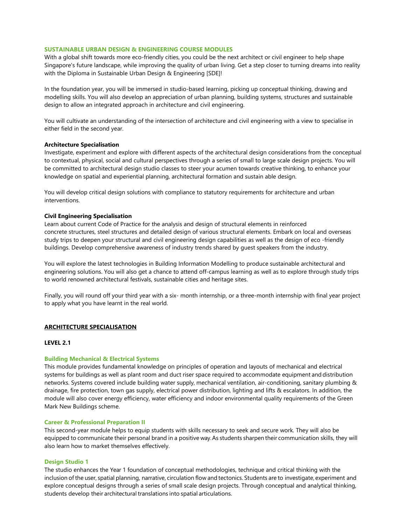# **SUSTAINABLE URBAN DESIGN & ENGINEERING COURSE MODULES**

With a global shift towards more eco-friendly cities, you could be the next architect or civil engineer to help shape Singapore's future landscape, while improving the quality of urban living. Get a step closer to turning dreams into reality with the Diploma in Sustainable Urban Design & Engineering [SDE]!

In the foundation year, you will be immersed in studio-based learning, picking up conceptual thinking, drawing and modelling skills. You will also develop an appreciation of urban planning, building systems, structures and sustainable design to allow an integrated approach in architecture and civil engineering.

You will cultivate an understanding of the intersection of architecture and civil engineering with a view to specialise in either field in the second year.

# **Architecture Specialisation**

Investigate, experiment and explore with different aspects of the architectural design considerations from the conceptual to contextual, physical, social and cultural perspectives through a series of small to large scale design projects. You will be committed to architectural design studio classes to steer your acumen towards creative thinking, to enhance your knowledge on spatial and experiential planning, architectural formation and sustain able design.

You will develop critical design solutions with compliance to statutory requirements for architecture and urban interventions.

# **Civil Engineering Specialisation**

Learn about current Code of Practice for the analysis and design of structural elements in reinforced concrete structures, steel structures and detailed design of various structural elements. Embark on local and overseas study trips to deepen your structural and civil engineering design capabilities as well as the design of eco -friendly buildings. Develop comprehensive awareness of industry trends shared by guest speakers from the industry.

You will explore the latest technologies in Building Information Modelling to produce sustainable architectural and engineering solutions. You will also get a chance to attend off-campus learning as well as to explore through study trips to world renowned architectural festivals, sustainable cities and heritage sites.

Finally, you will round off your third year with a six- month internship, or a three-month internship with final year project to apply what you have learnt in the real world.

# **ARCHITECTURE SPECIALISATION**

# **LEVEL 2.1**

#### **Building Mechanical & Electrical Systems**

This module provides fundamental knowledge on principles of operation and layouts of mechanical and electrical systems for buildings as well as plant room and duct riser space required to accommodate equipment and distribution networks. Systems covered include building water supply, mechanical ventilation, air-conditioning, sanitary plumbing & drainage, fire protection, town gas supply, electrical power distribution, lighting and lifts & escalators. In addition, the module will also cover energy efficiency, water efficiency and indoor environmental quality requirements of the Green Mark New Buildings scheme.

# **Career & Professional Preparation II**

This second-year module helps to equip students with skills necessary to seek and secure work. They will also be equipped to communicate their personal brand in a positive way.As students sharpen their communication skills, they will also learn how to market themselves effectively.

#### **Design Studio 1**

The studio enhances the Year 1 foundation of conceptual methodologies, technique and critical thinking with the inclusion of the user, spatial planning, narrative, circulation flow and tectonics. Students are to investigate, experiment and explore conceptual designs through a series of small scale design projects. Through conceptual and analytical thinking, students develop their architectural translations into spatial articulations.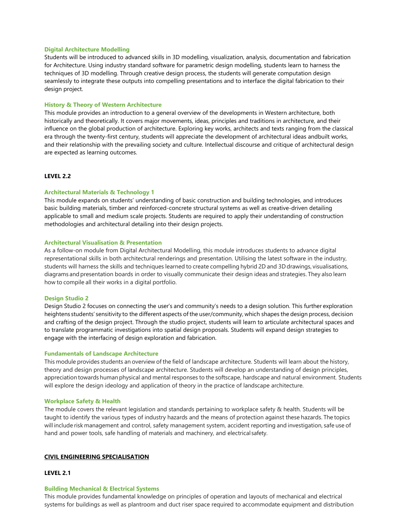#### **Digital Architecture Modelling**

Students will be introduced to advanced skills in 3D modelling, visualization, analysis, documentation and fabrication for Architecture. Using industry standard software for parametric design modelling, students learn to harness the techniques of 3D modelling. Through creative design process, the students will generate computation design seamlessly to integrate these outputs into compelling presentations and to interface the digital fabrication to their design project.

# **History & Theory of Western Architecture**

This module provides an introduction to a general overview of the developments in Western architecture, both historically and theoretically. It covers major movements, ideas, principles and traditions in architecture, and their influence on the global production of architecture. Exploring key works, architects and texts ranging from the classical era through the twenty-first century, students will appreciate the development of architectural ideas andbuilt works, and their relationship with the prevailing society and culture. Intellectual discourse and critique of architectural design are expected as learning outcomes.

# **LEVEL 2.2**

### **Architectural Materials & Technology 1**

This module expands on students' understanding of basic construction and building technologies, and introduces basic building materials, timber and reinforced-concrete structural systems as well as creative-driven detailing applicable to small and medium scale projects. Students are required to apply their understanding of construction methodologies and architectural detailing into their design projects.

#### **Architectural Visualisation & Presentation**

As a follow-on module from Digital Architectural Modelling, this module introduces students to advance digital representational skills in both architectural renderings and presentation. Utilising the latest software in the industry, students will harness the skills and techniques learned to create compelling hybrid 2D and 3D drawings, visualisations, diagrams andpresentation boards in order to visually communicate their design ideas and strategies. They also learn how to compile all their works in a digital portfolio.

# **Design Studio 2**

Design Studio 2 focuses on connecting the user's and community's needs to a design solution. This further exploration heightens students' sensitivity to the different aspects of the user/community, which shapes the design process, decision and crafting of the design project. Through the studio project, students will learn to articulate architectural spaces and to translate programmatic investigations into spatial design proposals. Students will expand design strategies to engage with the interfacing of design exploration and fabrication.

#### **Fundamentals of Landscape Architecture**

This module provides students an overview of the field of landscape architecture. Students will learn about the history, theory and design processes of landscape architecture. Students will develop an understanding of design principles, appreciation towards human physical and mental responses to the softscape, hardscape and natural environment. Students will explore the design ideology and application of theory in the practice of landscape architecture.

### **Workplace Safety & Health**

The module covers the relevant legislation and standards pertaining to workplace safety & health. Students will be taught to identify the various types of industry hazards and the means of protection against these hazards. The topics will include risk management and control, safety management system, accident reporting and investigation, safe use of hand and power tools, safe handling of materials and machinery, and electrical safety.

# **CIVIL ENGINEERING SPECIALISATION**

#### **LEVEL 2.1**

#### **Building Mechanical & Electrical Systems**

This module provides fundamental knowledge on principles of operation and layouts of mechanical and electrical systems for buildings as well as plantroom and duct riser space required to accommodate equipment and distribution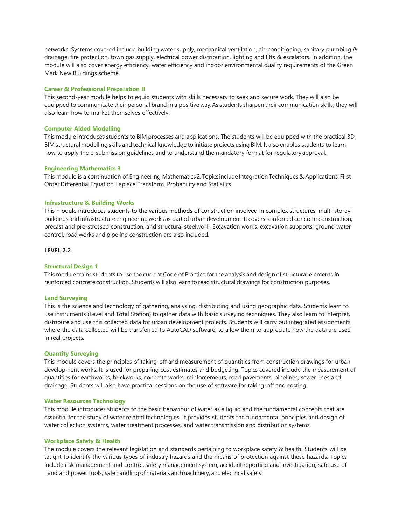networks. Systems covered include building water supply, mechanical ventilation, air-conditioning, sanitary plumbing & drainage, fire protection, town gas supply, electrical power distribution, lighting and lifts & escalators. In addition, the module will also cover energy efficiency, water efficiency and indoor environmental quality requirements of the Green Mark New Buildings scheme.

# **Career & Professional Preparation II**

This second-year module helps to equip students with skills necessary to seek and secure work. They will also be equipped to communicate their personal brand in a positive way.As students sharpen their communication skills, they will also learn how to market themselves effectively.

# **Computer Aided Modelling**

This module introduces students to BIM processes and applications. The students will be equipped with the practical 3D BIM structural modelling skills and technical knowledge to initiate projects using BIM. It also enables students to learn how to apply the e-submission guidelines and to understand the mandatory format for regulatoryapproval.

# **Engineering Mathematics 3**

This module is a continuation of Engineering Mathematics 2. Topics include IntegrationTechniques & Applications, First Order Differential Equation, Laplace Transform, Probability and Statistics.

# **Infrastructure & Building Works**

This module introduces students to the various methods of construction involved in complex structures, multi-storey buildings and infrastructure engineering works as part of urban development. It covers reinforced concrete construction, precast and pre-stressed construction, and structural steelwork. Excavation works, excavation supports, ground water control, road works and pipeline construction are also included.

# **LEVEL 2.2**

# **Structural Design 1**

This module trains students to use the current Code of Practice for the analysis and design of structural elements in reinforced concrete construction. Students will also learn to read structural drawings for construction purposes.

# **Land Surveying**

This is the science and technology of gathering, analysing, distributing and using geographic data. Students learn to use instruments (Level and Total Station) to gather data with basic surveying techniques. They also learn to interpret, distribute and use this collected data for urban development projects. Students will carry out integrated assignments where the data collected will be transferred to AutoCAD software, to allow them to appreciate how the data are used in real projects.

# **Quantity Surveying**

This module covers the principles of taking-off and measurement of quantities from construction drawings for urban development works. It is used for preparing cost estimates and budgeting. Topics covered include the measurement of quantities for earthworks, brickworks, concrete works, reinforcements, road pavements, pipelines, sewer lines and drainage. Students will also have practical sessions on the use of software for taking-off and costing.

# **Water Resources Technology**

This module introduces students to the basic behaviour of water as a liquid and the fundamental concepts that are essential for the study of water related technologies. It provides students the fundamental principles and design of water collection systems, water treatment processes, and water transmission and distribution systems.

# **Workplace Safety & Health**

The module covers the relevant legislation and standards pertaining to workplace safety & health. Students will be taught to identify the various types of industry hazards and the means of protection against these hazards. Topics include risk management and control, safety management system, accident reporting and investigation, safe use of hand and power tools, safe handling of materials and machinery, and electrical safety.